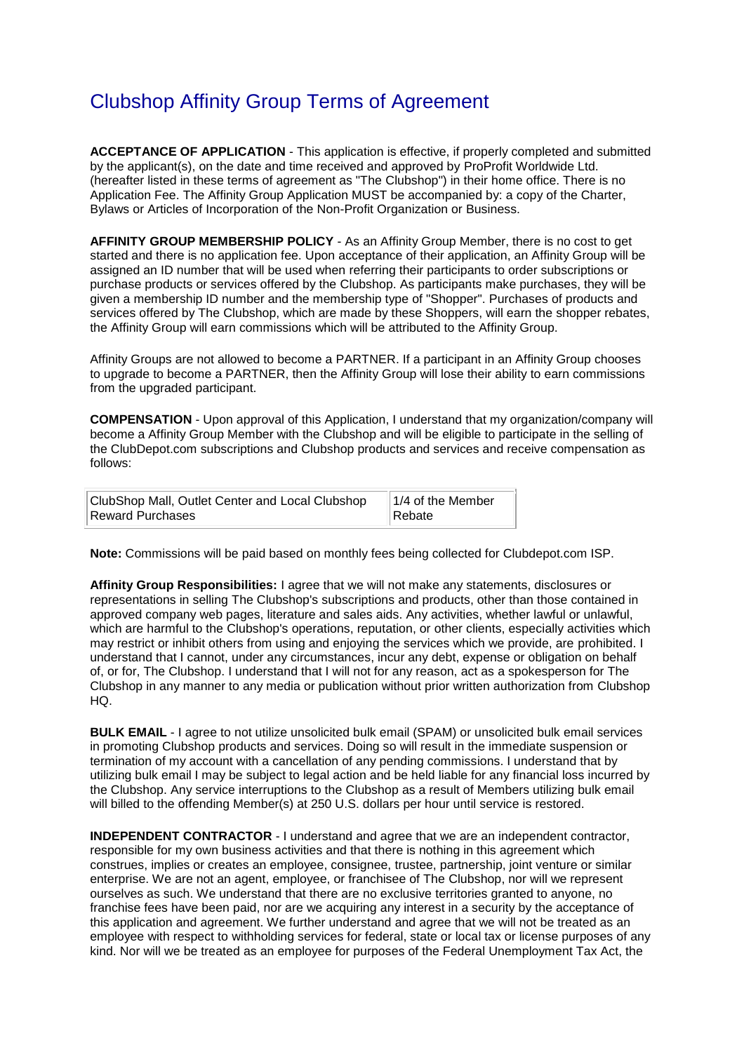## Clubshop Affinity Group Terms of Agreement

**ACCEPTANCE OF APPLICATION** - This application is effective, if properly completed and submitted by the applicant(s), on the date and time received and approved by ProProfit Worldwide Ltd. (hereafter listed in these terms of agreement as "The Clubshop") in their home office. There is no Application Fee. The Affinity Group Application MUST be accompanied by: a copy of the Charter, Bylaws or Articles of Incorporation of the Non-Profit Organization or Business.

**AFFINITY GROUP MEMBERSHIP POLICY** - As an Affinity Group Member, there is no cost to get started and there is no application fee. Upon acceptance of their application, an Affinity Group will be assigned an ID number that will be used when referring their participants to order subscriptions or purchase products or services offered by the Clubshop. As participants make purchases, they will be given a membership ID number and the membership type of "Shopper". Purchases of products and services offered by The Clubshop, which are made by these Shoppers, will earn the shopper rebates, the Affinity Group will earn commissions which will be attributed to the Affinity Group.

Affinity Groups are not allowed to become a PARTNER. If a participant in an Affinity Group chooses to upgrade to become a PARTNER, then the Affinity Group will lose their ability to earn commissions from the upgraded participant.

**COMPENSATION** - Upon approval of this Application, I understand that my organization/company will become a Affinity Group Member with the Clubshop and will be eligible to participate in the selling of the ClubDepot.com subscriptions and Clubshop products and services and receive compensation as follows:

| ClubShop Mall, Outlet Center and Local Clubshop | $\vert$ 1/4 of the Member |
|-------------------------------------------------|---------------------------|
| <b>Reward Purchases</b>                         | $\vert$ Rebate            |

**Note:** Commissions will be paid based on monthly fees being collected for Clubdepot.com ISP.

**Affinity Group Responsibilities:** I agree that we will not make any statements, disclosures or representations in selling The Clubshop's subscriptions and products, other than those contained in approved company web pages, literature and sales aids. Any activities, whether lawful or unlawful, which are harmful to the Clubshop's operations, reputation, or other clients, especially activities which may restrict or inhibit others from using and enjoying the services which we provide, are prohibited. I understand that I cannot, under any circumstances, incur any debt, expense or obligation on behalf of, or for, The Clubshop. I understand that I will not for any reason, act as a spokesperson for The Clubshop in any manner to any media or publication without prior written authorization from Clubshop HQ.

**BULK EMAIL** - I agree to not utilize unsolicited bulk email (SPAM) or unsolicited bulk email services in promoting Clubshop products and services. Doing so will result in the immediate suspension or termination of my account with a cancellation of any pending commissions. I understand that by utilizing bulk email I may be subject to legal action and be held liable for any financial loss incurred by the Clubshop. Any service interruptions to the Clubshop as a result of Members utilizing bulk email will billed to the offending Member(s) at 250 U.S. dollars per hour until service is restored.

**INDEPENDENT CONTRACTOR** - I understand and agree that we are an independent contractor, responsible for my own business activities and that there is nothing in this agreement which construes, implies or creates an employee, consignee, trustee, partnership, joint venture or similar enterprise. We are not an agent, employee, or franchisee of The Clubshop, nor will we represent ourselves as such. We understand that there are no exclusive territories granted to anyone, no franchise fees have been paid, nor are we acquiring any interest in a security by the acceptance of this application and agreement. We further understand and agree that we will not be treated as an employee with respect to withholding services for federal, state or local tax or license purposes of any kind. Nor will we be treated as an employee for purposes of the Federal Unemployment Tax Act, the